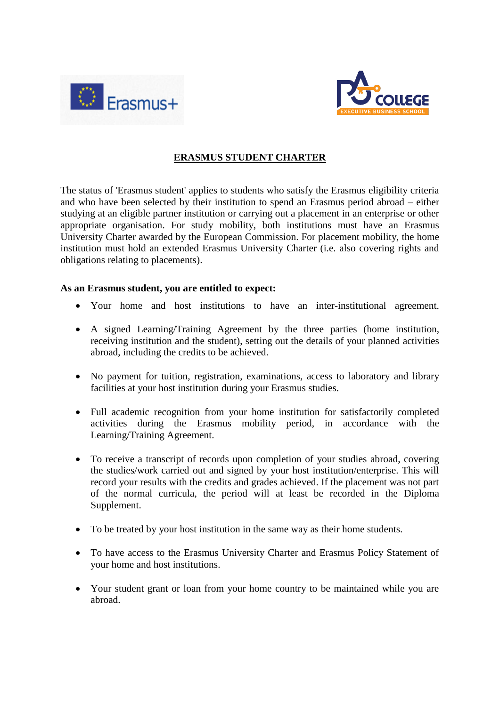



## **ERASMUS STUDENT CHARTER**

The status of 'Erasmus student' applies to students who satisfy the Erasmus eligibility criteria and who have been selected by their institution to spend an Erasmus period abroad – either studying at an eligible partner institution or carrying out a placement in an enterprise or other appropriate organisation. For study mobility, both institutions must have an Erasmus University Charter awarded by the European Commission. For placement mobility, the home institution must hold an extended Erasmus University Charter (i.e. also covering rights and obligations relating to placements).

## **As an Erasmus student, you are entitled to expect:**

- Your home and host institutions to have an inter-institutional agreement.
- A signed Learning/Training Agreement by the three parties (home institution, receiving institution and the student), setting out the details of your planned activities abroad, including the credits to be achieved.
- No payment for tuition, registration, examinations, access to laboratory and library facilities at your host institution during your Erasmus studies.
- Full academic recognition from your home institution for satisfactorily completed activities during the Erasmus mobility period, in accordance with the Learning/Training Agreement.
- To receive a transcript of records upon completion of your studies abroad, covering the studies/work carried out and signed by your host institution/enterprise. This will record your results with the credits and grades achieved. If the placement was not part of the normal curricula, the period will at least be recorded in the Diploma Supplement.
- To be treated by your host institution in the same way as their home students.
- To have access to the Erasmus University Charter and Erasmus Policy Statement of your home and host institutions.
- Your student grant or loan from your home country to be maintained while you are abroad.